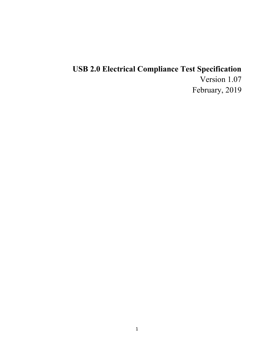# USB 2.0 Electrical Compliance Test Specification

Version 1.07 February, 2019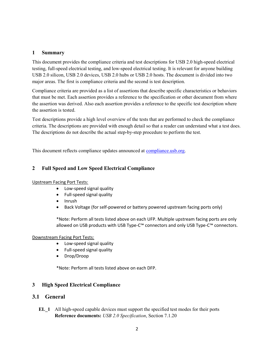### 1 Summary

This document provides the compliance criteria and test descriptions for USB 2.0 high-speed electrical testing, full-speed electrical testing, and low-speed electrical testing. It is relevant for anyone building USB 2.0 silicon, USB 2.0 devices, USB 2.0 hubs or USB 2.0 hosts. The document is divided into two major areas. The first is compliance criteria and the second is test description.

Compliance criteria are provided as a list of assertions that describe specific characteristics or behaviors that must be met. Each assertion provides a reference to the specification or other document from where the assertion was derived. Also each assertion provides a reference to the specific test description where the assertion is tested.

Test descriptions provide a high level overview of the tests that are performed to check the compliance criteria. The descriptions are provided with enough detail so that a reader can understand what a test does. The descriptions do not describe the actual step-by-step procedure to perform the test.

This document reflects compliance updates announced at compliance.usb.org.

# 2 Full Speed and Low Speed Electrical Compliance

#### Upstream Facing Port Tests:

- Low-speed signal quality
- Full-speed signal quality
- Inrush
- Back Voltage (for self-powered or battery powered upstream facing ports only)

\*Note: Perform all tests listed above on each UFP. Multiple upstream facing ports are only allowed on USB products with USB Type-C™ connectors and only USB Type-C™ connectors.

#### Downstream Facing Port Tests:

- Low-speed signal quality
- Full-speed signal quality
- Drop/Droop

\*Note: Perform all tests listed above on each DFP.

### 3 High Speed Electrical Compliance

# 3.1 General

EL\_1 All high-speed capable devices must support the specified test modes for their ports Reference documents: USB 2.0 Specification, Section 7.1.20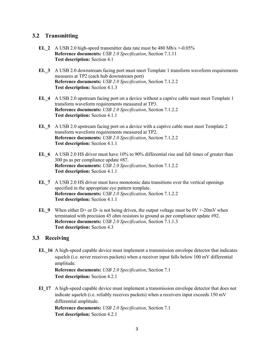# 3.2 Transmitting

- EL 2 A USB 2.0 high-speed transmitter data rate must be  $480$  Mb/s  $+0.05\%$ Reference documents: USB 2.0 Specification, Section 7.1.11 Test description: Section 4.1
- EL\_3 A USB 2.0 downstream facing port must meet Template 1 transform waveform requirements measures at TP2 (each hub downstream port) Reference documents: USB 2.0 Specification, Section 7.1.2.2 Test description: Section 4.1.3
- EL 4 A USB 2.0 upstream facing port on a device without a captive cable must meet Template 1 transform waveform requirements measured at TP3. Reference documents: USB 2.0 Specification, Section 7.1.2.2 Test description: Section 4.1.1
- EL 5 A USB 2.0 upstream facing port on a device with a captive cable must meet Template 2 transform waveform requirements measured at TP2. Reference documents: USB 2.0 Specification, Section 7.1.2.2 Test description: Section 4.1.1
- EL 6 A USB 2.0 HS driver must have 10% to 90% differential rise and fall times of greater than 300 ps as per compliance update #87. Reference documents: USB 2.0 Specification, Section 7.1.2.2 Test description: Section 4.1.1
- EL 7 A USB 2.0 HS driver must have monotonic data transitions over the vertical openings specified in the appropriate eye pattern template. Reference documents: USB 2.0 Specification, Section 7.1.2.2 Test description: Section 4.1.1
- EL 9 When either D+ or D- is not being driven, the output voltage must be  $0V + 20mV$  when terminated with precision 45 ohm resistors to ground as per compliance update #92. Reference documents: USB 2.0 Specification, Section 7.1.1.3 Test description: Section 4.3

# 3.3 Receiving

EL 16 A high-speed capable device must implement a transmission envelope detector that indicates squelch (i.e. never receives packets) when a receiver input falls below 100 mV differential amplitude. Reference documents: USB 2.0 Specification, Section 7.1

Test description: Section 4.2.1

El 17 A high-speed capable device must implement a transmission envelope detector that does not indicate squelch (i.e. reliably receives packets) when a receivers input exceeds 150 mV differential amplitude.

Reference documents: USB 2.0 Specification, Section 7.1 Test description: Section 4.2.1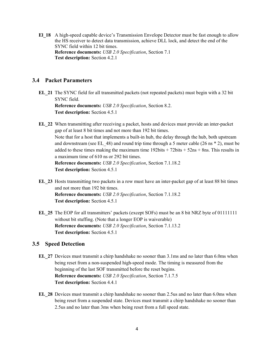El 18 A high-speed capable device's Transmission Envelope Detector must be fast enough to allow the HS receiver to detect data transmission, achieve DLL lock, and detect the end of the SYNC field within 12 bit times. Reference documents: USB 2.0 Specification, Section 7.1 Test description: Section 4.2.1

### 3.4 Packet Parameters

- EL\_21 The SYNC field for all transmitted packets (not repeated packets) must begin with a 32 bit SYNC field. Reference documents: USB 2.0 Specification, Section 8.2. Test description: Section 4.5.1
- EL\_22 When transmitting after receiving a packet, hosts and devices must provide an inter-packet gap of at least 8 bit times and not more than 192 bit times. Note that for a host that implements a built-in hub, the delay through the hub, both upstream and downstream (see EL 48) and round trip time through a 5 meter cable (26 ns  $*$  2), must be added to these times making the maximum time  $192$ bits +  $72$ bits +  $52$ ns + 8ns. This results in a maximum time of 610 ns or 292 bit times. Reference documents: USB 2.0 Specification, Section 7.1.18.2 Test description: Section 4.5.1
- EL\_23 Hosts transmitting two packets in a row must have an inter-packet gap of at least 88 bit times and not more than 192 bit times. Reference documents: USB 2.0 Specification, Section 7.1.18.2 Test description: Section 4.5.1
- EL\_25 The EOP for all transmitters' packets (except SOFs) must be an 8 bit NRZ byte of 01111111 without bit stuffing. (Note that a longer EOP is waiverable) Reference documents: USB 2.0 Specification, Section 7.1.13.2 Test description: Section 4.5.1

#### 3.5 Speed Detection

- EL\_27 Devices must transmit a chirp handshake no sooner than 3.1ms and no later than 6.0ms when being reset from a non-suspended high-speed mode. The timing is measured from the beginning of the last SOF transmitted before the reset begins. Reference documents: USB 2.0 Specification, Section 7.1.7.5 Test description: Section 4.4.1
- EL\_28 Devices must transmit a chirp handshake no sooner than 2.5us and no later than 6.0ms when being reset from a suspended state. Devices must transmit a chirp handshake no sooner than 2.5us and no later than 3ms when being reset from a full speed state.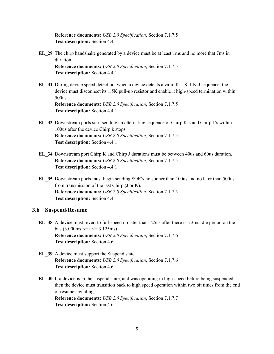Reference documents: USB 2.0 Specification, Section 7.1.7.5 Test description: Section 4.4.1

EL\_29 The chirp handshake generated by a device must be at least 1ms and no more that 7ms in duration.

Reference documents: USB 2.0 Specification, Section 7.1.7.5 Test description: Section 4.4.1

EL\_31 During device speed detection, when a device detects a valid K-J-K-J-K-J sequence, the device must disconnect its 1.5K pull-up resistor and enable it high-speed termination within 500us.

Reference documents: USB 2.0 Specification, Section 7.1.7.5 Test description: Section 4.4.1

- EL\_33 Downstream ports start sending an alternating sequence of Chirp K's and Chirp J's within 100us after the device Chirp k stops. Reference documents: USB 2.0 Specification, Section 7.1.7.5 Test description: Section 4.4.1
- EL\_34 Downstream port Chirp K and Chirp J durations must be between 40us and 60us duration. Reference documents: USB 2.0 Specification, Section 7.1.7.5 Test description: Section 4.4.1
- EL\_35 Downstream ports must begin sending SOF's no sooner than 100us and no later than 500us from transmission of the last Chirp (J or K). Reference documents: USB 2.0 Specification, Section 7.1.7.5 Test description: Section 4.4.1

# 3.6 Suspend/Resume

- EL\_38 A device must revert to full-speed no later than 125us after there is a 3ms idle period on the bus  $(3.000 \text{ms} \le t \le 3.125 \text{ms})$ Reference documents: USB 2.0 Specification, Section 7.1.7.6 Test description: Section 4.6
- EL 39 A device must support the Suspend state. Reference documents: USB 2.0 Specification, Section 7.1.7.6 Test description: Section 4.6
- EL 40 If a device is in the suspend state, and was operating in high-speed before being suspended, then the device must transition back to high speed operation within two bit times from the end of resume signaling. Reference documents: USB 2.0 Specification, Section 7.1.7.7 Test description: Section 4.6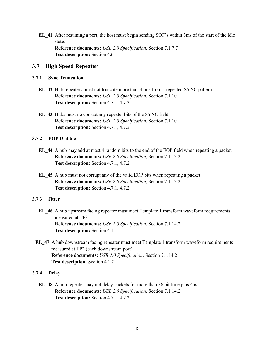EL\_41 After resuming a port, the host must begin sending SOF's within 3ms of the start of the idle state. Reference documents: USB 2.0 Specification, Section 7.1.7.7 Test description: Section 4.6

#### 3.7 High Speed Repeater

#### 3.7.1 Sync Truncation

- EL\_42 Hub repeaters must not truncate more than 4 bits from a repeated SYNC pattern. Reference documents: USB 2.0 Specification, Section 7.1.10 Test description: Section 4.7.1, 4.7.2
- EL\_43 Hubs must no corrupt any repeater bits of the SYNC field. Reference documents: USB 2.0 Specification, Section 7.1.10 Test description: Section 4.7.1, 4.7.2

#### 3.7.2 EOP Dribble

- EL\_44 A hub may add at most 4 random bits to the end of the EOP field when repeating a packet. Reference documents: USB 2.0 Specification, Section 7.1.13.2 Test description: Section 4.7.1, 4.7.2
- EL\_45 A hub must not corrupt any of the valid EOP bits when repeating a packet. Reference documents: USB 2.0 Specification, Section 7.1.13.2 Test description: Section 4.7.1, 4.7.2

#### 3.7.3 Jitter

- EL\_46 A hub upstream facing repeater must meet Template 1 transform waveform requirements measured at TP3. Reference documents: USB 2.0 Specification, Section 7.1.14.2 Test description: Section 4.1.1
- EL\_47 A hub downstream facing repeater must meet Template 1 transform waveform requirements measured at TP2 (each downstream port). Reference documents: USB 2.0 Specification, Section 7.1.14.2 Test description: Section 4.1.2

#### 3.7.4 Delay

EL\_48 A hub repeater may not delay packets for more than 36 bit time plus 4ns. Reference documents: USB 2.0 Specification, Section 7.1.14.2 Test description: Section 4.7.1, 4.7.2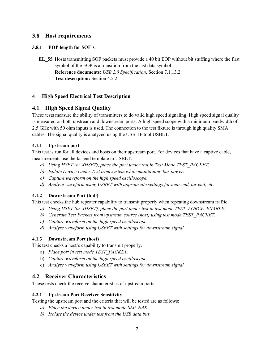# 3.8 Host requirements

## 3.8.1 EOP length for SOF's

EL\_55 Hosts transmitting SOF packets must provide a 40 bit EOP without bit stuffing where the first symbol of the EOP is a transition from the last data symbol Reference documents: USB 2.0 Specification, Section 7.1.13.2 Test description: Section 4.5.2

# 4 High Speed Electrical Test Description

# 4.1 High Speed Signal Quality

These tests measure the ability of transmitters to do valid high speed signaling. High speed signal quality is measured on both upstream and downstream ports. A high speed scope with a minimum bandwidth of 2.5 GHz with 50 ohm inputs is used. The connection to the test fixture is through high quality SMA cables. The signal quality is analyzed using the USB\_IF tool USBET.

### 4.1.1 Upstream port

This test is run for all devices and hosts on their upstream port. For devices that have a captive cable, measurements use the far-end template in USBET.

- a) Using HSET (or XHSET), place the port under test in Test Mode TEST\_PACKET.
- b) Isolate Device Under Test from system while maintaining bus power.
- c) Capture waveform on the high speed oscilloscope.
- d) Analyze waveform using USBET with appropriate settings for near end, far end, etc.

# 4.1.2 Downstream Port (hub)

This test checks the hub repeater capability to transmit properly when repeating downstream traffic.

- a) Using HSET (or XHSET), place the port under test in test mode TEST\_FORCE\_ENABLE.
- b) Generate Test Packets from upstream source (host) using test mode TEST PACKET.
- c) Capture waveform on the high speed oscilloscope.
- d) Analyze waveform using USBET with settings for downstream signal.

### 4.1.3 Downstream Port (host)

This test checks a host's capability to transmit properly.

- a) Place port in test mode TEST PACKET.
- b) Capture waveform on the high speed oscilloscope.
- c) Analyze waveform using USBET with settings for downstream signal.

# 4.2 Receiver Characteristics

These tests check the receive characteristics of upstream ports.

# 4.2.1 Upstream Port Receiver Sensitivity

Testing the upstream port and the criteria that will be tested are as follows:

- a) Place the device under test in test mode SE0 NAK.
- b) Isolate the device under test from the USB data bus.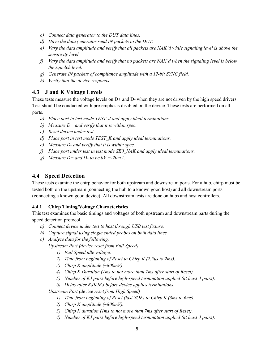- c) Connect data generator to the DUT data lines.
- d) Have the data generator send IN packets to the DUT.
- e) Vary the data amplitude and verify that all packets are NAK'd while signaling level is above the sensitivity level.
- f) Vary the data amplitude and verify that no packets are NAK'd when the signaling level is below the squelch level.
- g) Generate IN packets of compliance amplitude with a 12-bit SYNC field.
- h) Verify that the device responds.

# 4.3 J and K Voltage Levels

These tests measure the voltage levels on D+ and D- when they are not driven by the high speed drivers. Test should be conducted with pre-emphasis disabled on the device. These tests are performed on all ports.

- a) Place port in test mode TEST J and apply ideal terminations.
- b) Measure  $D+$  and verify that it is within spec.
- c) Reset device under test.
- $d)$  Place port in test mode TEST  $K$  and apply ideal terminations.
- e) Measure D- and verify that it is within spec.
- f) Place port under test in test mode SE0 NAK and apply ideal terminations.
- g) Measure  $D+$  and  $D-$  to be  $0V + -20mV$ .

## 4.4 Speed Detection

These tests examine the chirp behavior for both upstream and downstream ports. For a hub, chirp must be tested both on the upstream (connecting the hub to a known good host) and all downstream ports (connecting a known good device). All downstream tests are done on hubs and host controllers.

#### 4.4.1 Chirp Timing/Voltage Characteristics

This test examines the basic timings and voltages of both upstream and downstream parts during the speed detection protocol.

- a) Connect device under test to host through USB test fixture.
- b) Capture signal using single ended probes on both data lines.
- c) Analyze data for the following.

Upstream Port (device reset from Full Speed)

- 1) Full Speed idle voltage.
- 2) Time from beginning of Reset to Chirp K (2.5us to 2ms).
- 3) Chirp K amplitude  $(-800mV)$
- 4) Chirp K Duration (1ms to not more than 7ms after start of Reset).
- 5) Number of KJ pairs before high-speed termination applied (at least 3 pairs).
- 6) Delay after KJKJKJ before device applies terminations.

Upstream Port (device reset from High Speed)

- 1) Time from beginning of Reset (last SOF) to Chirp K (3ms to 6ms).
- 2) Chirp K amplitude  $(\sim 800 \text{mV})$ .
- 3) Chirp K duration (1ms to not more than 7ms after start of Reset).
- 4) Number of KJ pairs before high-speed termination applied (at least 3 pairs).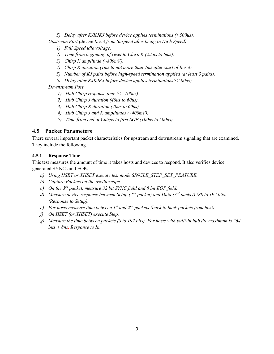5) Delay after KJKJKJ before device applies terminations (<500us). Upstream Port (device Reset from Suspend after being in High Speed)

- 1) Full Speed idle voltage.
- 2) Time from beginning of reset to Chirp K (2.5us to 6ms).
- 3) Chirp K amplitude  $(\sim800mV)$ .
- 4) Chirp K duration (1ms to not more than 7ms after start of Reset).
- 5) Number of KJ pairs before high-speed termination applied (at least 3 pairs).
- 6) Delay after KJKJKJ before device applies terminations(<500us).

Downstream Port

- 1) Hub Chirp response time  $\left(\leq=100us\right)$ .
- 2) Hub Chirp J duration (40us to 60us).
- 3) Hub Chirp K duration (40us to 60us).
- 4) Hub Chirp J and K amplitudes  $\left(\sim 400 \text{mV}\right)$ .
- 5) Time from end of Chirps to first SOF (100us to 500us).

## 4.5 Packet Parameters

There several important packet characteristics for upstream and downstream signaling that are examined. They include the following.

#### 4.5.1 Response Time

This test measures the amount of time it takes hosts and devices to respond. It also verifies device generated SYNCs and EOPs.

- a) Using HSET or XHSET execute test mode SINGLE\_STEP\_SET\_FEATURE.
- b) Capture Packets on the oscilloscope.
- c) On the  $3^{rd}$  packet, measure 32 bit SYNC field and 8 bit EOP field.
- d) Measure device response between Setup ( $2^{nd}$  packet) and Data ( $3^{rd}$  packet) (88 to 192 bits) (Response to Setup).
- e) For hosts measure time between  $I^{st}$  and  $2^{nd}$  packets (back to back packets from host).
- f) On HSET (or XHSET) execute Step.
- g) Measure the time between packets (8 to 192 bits). For hosts with built-in hub the maximum is 264  $bits + 8ns$ . Response to In.